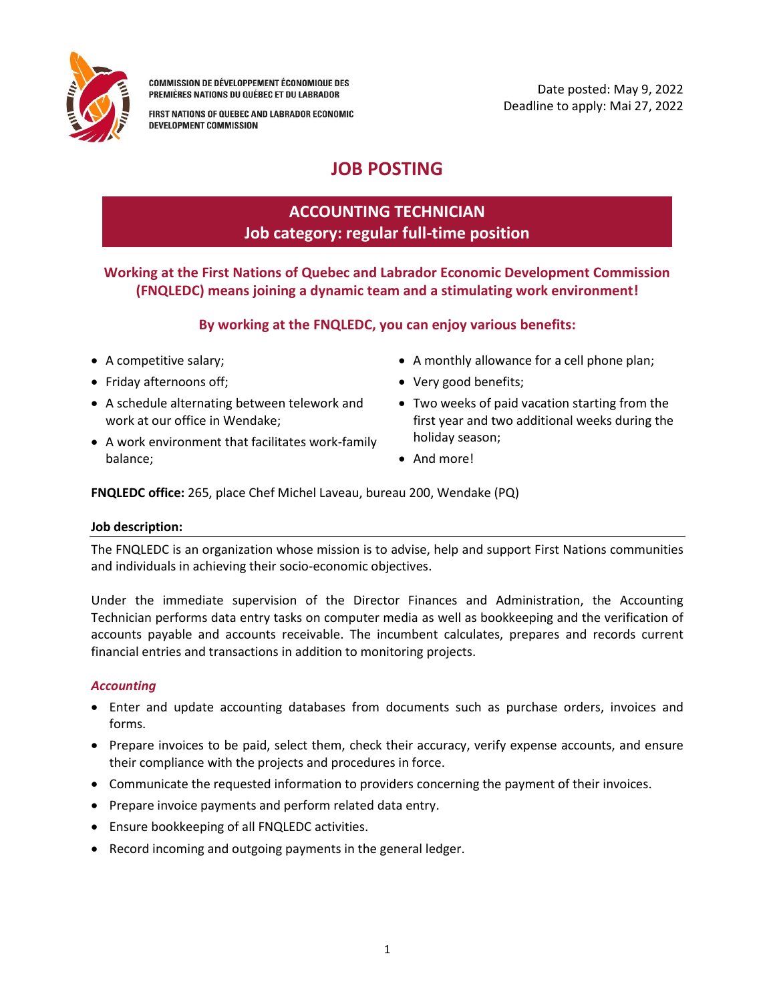

**COMMISSION DE DÉVELOPPEMENT ÉCONOMIQUE DES** PREMIÈRES NATIONS DU QUÉBEC ET DU LABRADOR

FIRST NATIONS OF QUEBEC AND LABRADOR ECONOMIC DEVELOPMENT COMMISSION

# **JOB POSTING**

## **ACCOUNTING TECHNICIAN Job category: regular full-time position**

**Working at the First Nations of Quebec and Labrador Economic Development Commission (FNQLEDC) means joining a dynamic team and a stimulating work environment!**

## **By working at the FNQLEDC, you can enjoy various benefits:**

- A competitive salary;
- Friday afternoons off;
- A schedule alternating between telework and work at our office in Wendake;
- A work environment that facilitates work-family balance;
- A monthly allowance for a cell phone plan;
- Very good benefits;
- Two weeks of paid vacation starting from the first year and two additional weeks during the holiday season;
- And more!

**FNQLEDC office:** 265, place Chef Michel Laveau, bureau 200, Wendake (PQ)

## **Job description:**

The FNQLEDC is an organization whose mission is to advise, help and support First Nations communities and individuals in achieving their socio-economic objectives.

Under the immediate supervision of the Director Finances and Administration, the Accounting Technician performs data entry tasks on computer media as well as bookkeeping and the verification of accounts payable and accounts receivable. The incumbent calculates, prepares and records current financial entries and transactions in addition to monitoring projects.

## *Accounting*

- Enter and update accounting databases from documents such as purchase orders, invoices and forms.
- Prepare invoices to be paid, select them, check their accuracy, verify expense accounts, and ensure their compliance with the projects and procedures in force.
- Communicate the requested information to providers concerning the payment of their invoices.
- Prepare invoice payments and perform related data entry.
- Ensure bookkeeping of all FNQLEDC activities.
- Record incoming and outgoing payments in the general ledger.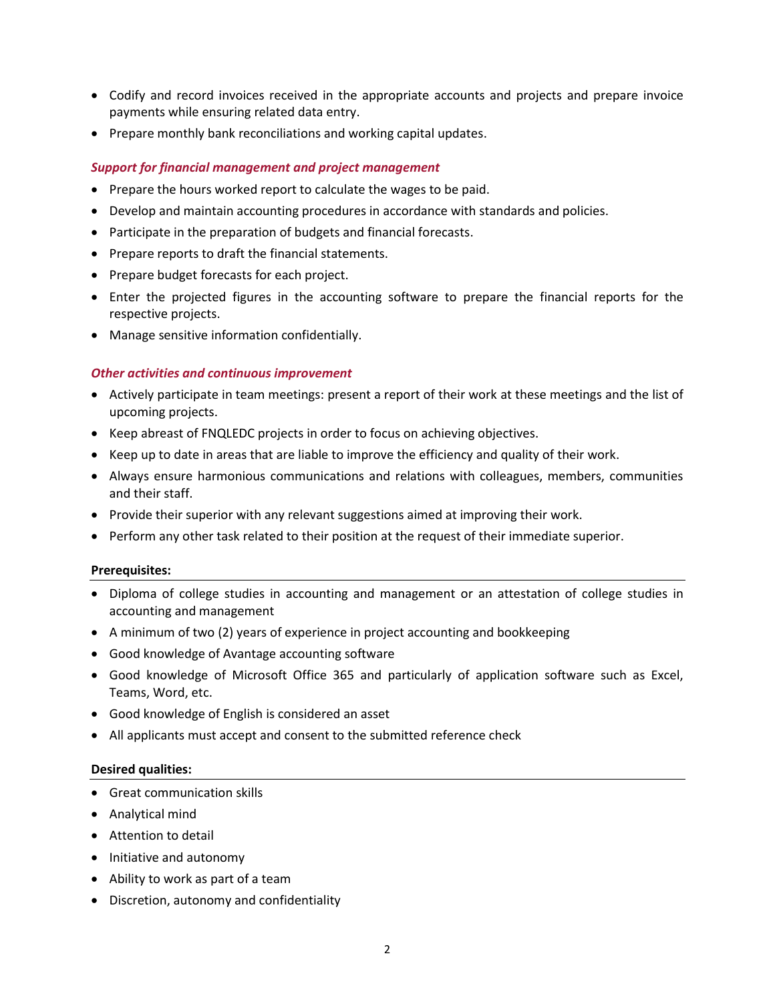- Codify and record invoices received in the appropriate accounts and projects and prepare invoice payments while ensuring related data entry.
- Prepare monthly bank reconciliations and working capital updates.

#### *Support for financial management and project management*

- Prepare the hours worked report to calculate the wages to be paid.
- Develop and maintain accounting procedures in accordance with standards and policies.
- Participate in the preparation of budgets and financial forecasts.
- Prepare reports to draft the financial statements.
- Prepare budget forecasts for each project.
- Enter the projected figures in the accounting software to prepare the financial reports for the respective projects.
- Manage sensitive information confidentially.

#### *Other activities and continuous improvement*

- Actively participate in team meetings: present a report of their work at these meetings and the list of upcoming projects.
- Keep abreast of FNQLEDC projects in order to focus on achieving objectives.
- Keep up to date in areas that are liable to improve the efficiency and quality of their work.
- Always ensure harmonious communications and relations with colleagues, members, communities and their staff.
- Provide their superior with any relevant suggestions aimed at improving their work.
- Perform any other task related to their position at the request of their immediate superior.

#### **Prerequisites:**

- Diploma of college studies in accounting and management or an attestation of college studies in accounting and management
- A minimum of two (2) years of experience in project accounting and bookkeeping
- Good knowledge of Avantage accounting software
- Good knowledge of Microsoft Office 365 and particularly of application software such as Excel, Teams, Word, etc.
- Good knowledge of English is considered an asset
- All applicants must accept and consent to the submitted reference check

#### **Desired qualities:**

- Great communication skills
- Analytical mind
- Attention to detail
- Initiative and autonomy
- Ability to work as part of a team
- Discretion, autonomy and confidentiality